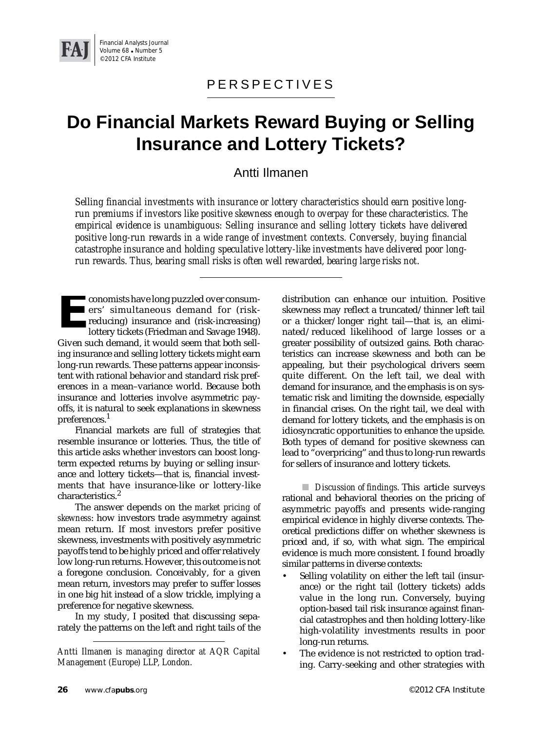

# **Do Financial Markets Reward Buying or Selling Insurance and Lottery Tickets?**

Antti Ilmanen

*Selling financial investments with insurance or lottery characteristics should earn positive longrun premiums if investors like positive skewness enough to overpay for these characteristics. The empirical evidence is unambiguous: Selling insurance and selling lottery tickets have delivered positive long-run rewards in a wide range of investment contexts. Conversely, buying financial catastrophe insurance and holding speculative lottery-like investments have delivered poor longrun rewards. Thus, bearing small risks is often well rewarded, bearing large risks not.*

conomists have long puzzled over consumers' simultaneous demand for (riskreducing) insurance and (risk-increasing) lottery tickets (Friedman and Savage 1948). Given such demand, it would seem that both selling insurance and selling lottery tickets might earn long-run rewards. These patterns appear inconsistent with rational behavior and standard risk preferences in a mean–variance world. Because both insurance and lotteries involve asymmetric payoffs, it is natural to seek explanations in skewness preferences.<sup>1</sup> **E**

Financial markets are full of strategies that resemble insurance or lotteries. Thus, the title of this article asks whether investors can boost longterm expected returns by buying or selling insurance and lottery tickets—that is, financial investments that have insurance-like or lottery-like characteristics.<sup>2</sup>

The answer depends on the *market pricing of skewness*: how investors trade asymmetry against mean return. If most investors prefer positive skewness, investments with positively asymmetric payoffs tend to be highly priced and offer relatively low long-run returns. However, this outcome is not a foregone conclusion. Conceivably, for a given mean return, investors may prefer to suffer losses in one big hit instead of a slow trickle, implying a preference for negative skewness.

In my study, I posited that discussing separately the patterns on the left and right tails of the distribution can enhance our intuition. Positive skewness may reflect a truncated/thinner left tail or a thicker/longer right tail—that is, an eliminated/reduced likelihood of large losses or a greater possibility of outsized gains. Both characteristics can increase skewness and both can be appealing, but their psychological drivers seem quite different. On the left tail, we deal with demand for insurance, and the emphasis is on systematic risk and limiting the downside, especially in financial crises. On the right tail, we deal with demand for lottery tickets, and the emphasis is on idiosyncratic opportunities to enhance the upside. Both types of demand for positive skewness can lead to "overpricing" and thus to long-run rewards for sellers of insurance and lottery tickets.

■ *Discussion of findings*. This article surveys rational and behavioral theories on the pricing of asymmetric payoffs and presents wide-ranging empirical evidence in highly diverse contexts. Theoretical predictions differ on whether skewness is priced and, if so, with what sign. The empirical evidence is much more consistent. I found broadly similar patterns in diverse contexts:

- Selling volatility on either the left tail (insurance) or the right tail (lottery tickets) adds value in the long run. Conversely, buying option-based tail risk insurance against financial catastrophes and then holding lottery-like high-volatility investments results in poor long-run returns.
- The evidence is not restricted to option trading. Carry-seeking and other strategies with

*Antti Ilmanen is managing director at AQR Capital Management (Europe) LLP, London.*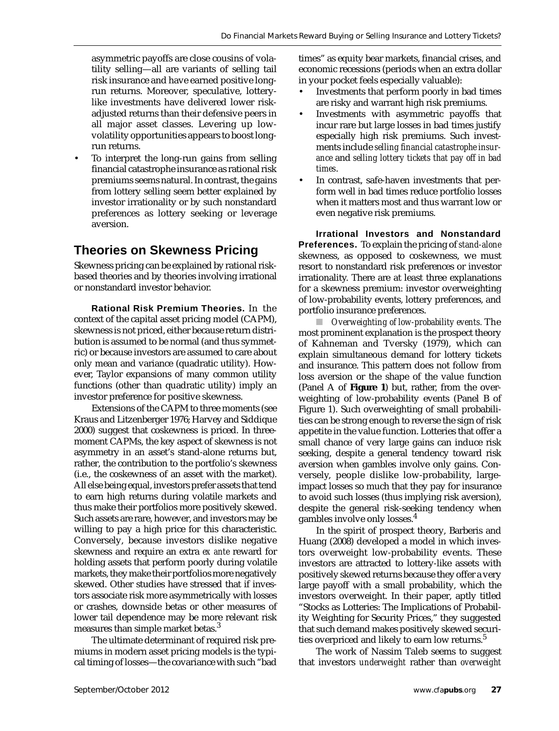asymmetric payoffs are close cousins of volatility selling—all are variants of selling tail risk insurance and have earned positive longrun returns. Moreover, speculative, lotterylike investments have delivered lower riskadjusted returns than their defensive peers in all major asset classes. Levering up lowvolatility opportunities appears to boost longrun returns.

• To interpret the long-run gains from selling financial catastrophe insurance as rational risk premiums seems natural. In contrast, the gains from lottery selling seem better explained by investor irrationality or by such nonstandard preferences as lottery seeking or leverage aversion.

## **Theories on Skewness Pricing**

Skewness pricing can be explained by rational riskbased theories and by theories involving irrational or nonstandard investor behavior.

**Rational Risk Premium Theories.** In the context of the capital asset pricing model (CAPM), skewness is not priced, either because return distribution is assumed to be normal (and thus symmetric) or because investors are assumed to care about only mean and variance (quadratic utility). However, Taylor expansions of many common utility functions (other than quadratic utility) imply an investor preference for positive skewness.

Extensions of the CAPM to three moments (see Kraus and Litzenberger 1976; Harvey and Siddique 2000) suggest that coskewness is priced. In threemoment CAPMs, the key aspect of skewness is not asymmetry in an asset's stand-alone returns but, rather, the contribution to the portfolio's skewness (i.e., the coskewness of an asset with the market). All else being equal, investors prefer assets that tend to earn high returns during volatile markets and thus make their portfolios more positively skewed. Such assets are rare, however, and investors may be willing to pay a high price for this characteristic. Conversely, because investors dislike negative skewness and require an extra *ex ante* reward for holding assets that perform poorly during volatile markets, they make their portfolios more negatively skewed. Other studies have stressed that if investors associate risk more asymmetrically with losses or crashes, downside betas or other measures of lower tail dependence may be more relevant risk measures than simple market betas.<sup>3</sup>

The ultimate determinant of required risk premiums in modern asset pricing models is the typical timing of losses—the covariance with such "bad times" as equity bear markets, financial crises, and economic recessions (periods when an extra dollar in your pocket feels especially valuable):

- Investments that perform poorly in bad times are risky and warrant high risk premiums.
- Investments with asymmetric payoffs that incur rare but large losses in bad times justify especially high risk premiums. Such investments include *selling financial catastrophe insurance* and *selling lottery tickets that pay off in bad times*.
- In contrast, safe-haven investments that perform well in bad times reduce portfolio losses when it matters most and thus warrant low or even negative risk premiums.

**Irrational Investors and Nonstandard Preferences.** To explain the pricing of *stand-alone* skewness, as opposed to coskewness, we must resort to nonstandard risk preferences or investor irrationality. There are at least three explanations for a skewness premium: investor overweighting of low-probability events, lottery preferences, and portfolio insurance preferences.

■ *Overweighting of low-probability events.* The most prominent explanation is the prospect theory of Kahneman and Tversky (1979), which can explain simultaneous demand for lottery tickets and insurance. This pattern does not follow from loss aversion or the shape of the value function (Panel A of **Figure 1**) but, rather, from the overweighting of low-probability events (Panel B of Figure 1). Such overweighting of small probabilities can be strong enough to reverse the sign of risk appetite in the value function. Lotteries that offer a small chance of very large gains can induce risk seeking, despite a general tendency toward risk aversion when gambles involve only gains. Conversely, people dislike low-probability, largeimpact losses so much that they pay for insurance to avoid such losses (thus implying risk aversion), despite the general risk-seeking tendency when gambles involve only losses.4

In the spirit of prospect theory, Barberis and Huang (2008) developed a model in which investors overweight low-probability events. These investors are attracted to lottery-like assets with positively skewed returns because they offer a very large payoff with a small probability, which the investors overweight. In their paper, aptly titled "Stocks as Lotteries: The Implications of Probability Weighting for Security Prices," they suggested that such demand makes positively skewed securities overpriced and likely to earn low returns.<sup>5</sup>

The work of Nassim Taleb seems to suggest that investors *underweight* rather than *overweight*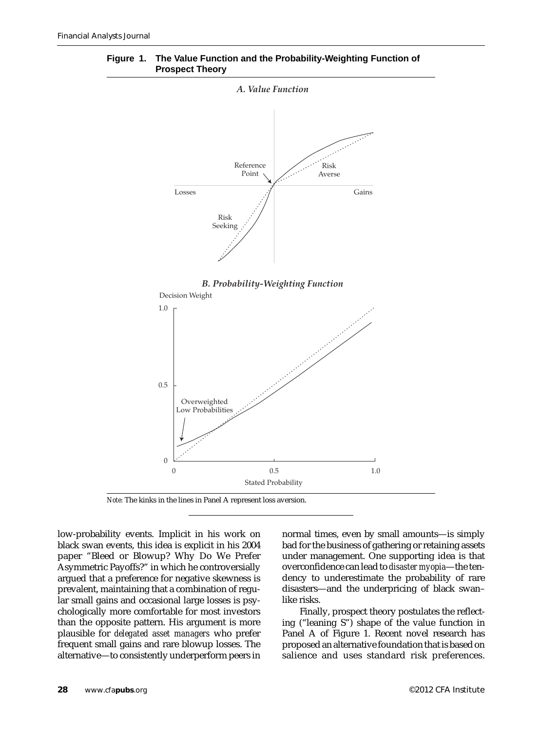

**Figure 1. The Value Function and the Probability-Weighting Function of Prospect Theory**

*Note:* The kinks in the lines in Panel A represent loss aversion.

low-probability events. Implicit in his work on black swan events, this idea is explicit in his 2004 paper "Bleed or Blowup? Why Do We Prefer Asymmetric Payoffs?" in which he controversially argued that a preference for negative skewness is prevalent, maintaining that a combination of regular small gains and occasional large losses is psychologically more comfortable for most investors than the opposite pattern. His argument is more plausible for *delegated asset managers* who prefer frequent small gains and rare blowup losses. The alternative—to consistently underperform peers in

normal times, even by small amounts—is simply bad for the business of gathering or retaining assets under management. One supporting idea is that overconfidence can lead to *disaster myopia*—the tendency to underestimate the probability of rare disasters—and the underpricing of black swan– like risks.

Finally, prospect theory postulates the reflecting ("leaning S") shape of the value function in Panel A of Figure 1. Recent novel research has proposed an alternative foundation that is based on salience and uses standard risk preferences.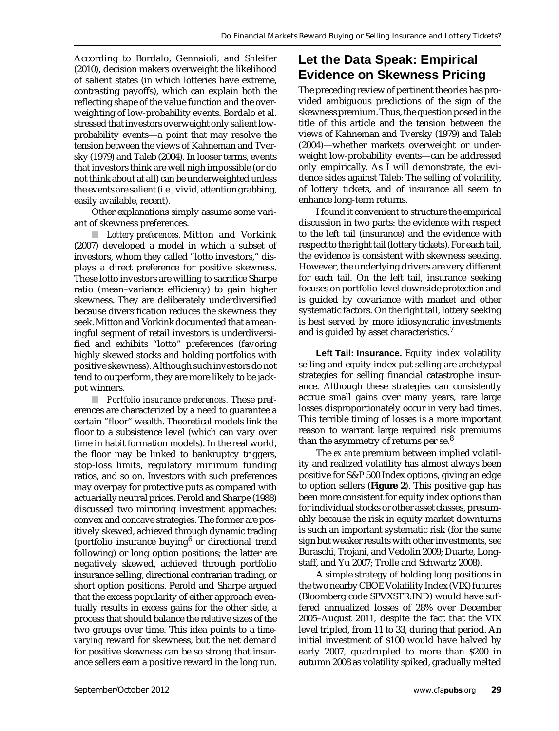According to Bordalo, Gennaioli, and Shleifer (2010), decision makers overweight the likelihood of salient states (in which lotteries have extreme, contrasting payoffs), which can explain both the reflecting shape of the value function and the overweighting of low-probability events. Bordalo et al. stressed that investors overweight only salient lowprobability events—a point that may resolve the tension between the views of Kahneman and Tversky (1979) and Taleb (2004). In looser terms, events that investors think are well nigh impossible (or do not think about at all) can be underweighted unless the events are salient (i.e., vivid, attention grabbing, easily available, recent).

Other explanations simply assume some variant of skewness preferences.

■ *Lottery preferences.* Mitton and Vorkink (2007) developed a model in which a subset of investors, whom they called "lotto investors," displays a direct preference for positive skewness. These lotto investors are willing to sacrifice Sharpe ratio (mean–variance efficiency) to gain higher skewness. They are deliberately underdiversified because diversification reduces the skewness they seek. Mitton and Vorkink documented that a meaningful segment of retail investors is underdiversified and exhibits "lotto" preferences (favoring highly skewed stocks and holding portfolios with positive skewness). Although such investors do not tend to outperform, they are more likely to be jackpot winners.

■ *Portfolio insurance preferences.* These preferences are characterized by a need to guarantee a certain "floor" wealth. Theoretical models link the floor to a subsistence level (which can vary over time in habit formation models). In the real world, the floor may be linked to bankruptcy triggers, stop-loss limits, regulatory minimum funding ratios, and so on. Investors with such preferences may overpay for protective puts as compared with actuarially neutral prices. Perold and Sharpe (1988) discussed two mirroring investment approaches: convex and concave strategies. The former are positively skewed, achieved through dynamic trading (portfolio insurance buying $6$  or directional trend following) or long option positions; the latter are negatively skewed, achieved through portfolio insurance selling, directional contrarian trading, or short option positions. Perold and Sharpe argued that the excess popularity of either approach eventually results in excess gains for the other side, a process that should balance the relative sizes of the two groups over time. This idea points to a *timevarying* reward for skewness, but the net demand for positive skewness can be so strong that insurance sellers earn a positive reward in the long run.

## **Let the Data Speak: Empirical Evidence on Skewness Pricing**

The preceding review of pertinent theories has provided ambiguous predictions of the sign of the skewness premium. Thus, the question posed in the title of this article and the tension between the views of Kahneman and Tversky (1979) and Taleb (2004)—whether markets overweight or underweight low-probability events—can be addressed only empirically. As I will demonstrate, the evidence sides against Taleb: The selling of volatility, of lottery tickets, and of insurance all seem to enhance long-term returns.

I found it convenient to structure the empirical discussion in two parts: the evidence with respect to the left tail (insurance) and the evidence with respect to the right tail (lottery tickets). For each tail, the evidence is consistent with skewness seeking. However, the underlying drivers are very different for each tail. On the left tail, insurance seeking focuses on portfolio-level downside protection and is guided by covariance with market and other systematic factors. On the right tail, lottery seeking is best served by more idiosyncratic investments and is guided by asset characteristics.<sup>7</sup>

Left Tail: Insurance. Equity index volatility selling and equity index put selling are archetypal strategies for selling financial catastrophe insurance. Although these strategies can consistently accrue small gains over many years, rare large losses disproportionately occur in very bad times. This terrible timing of losses is a more important reason to warrant large required risk premiums than the asymmetry of returns per se.<sup>8</sup>

The *ex ante* premium between implied volatility and realized volatility has almost always been positive for S&P 500 Index options, giving an edge to option sellers (**Figure 2**). This positive gap has been more consistent for equity index options than for individual stocks or other asset classes, presumably because the risk in equity market downturns is such an important systematic risk (for the same sign but weaker results with other investments, see Buraschi, Trojani, and Vedolin 2009; Duarte, Longstaff, and Yu 2007; Trolle and Schwartz 2008).

A simple strategy of holding long positions in the two nearby CBOE Volatility Index (VIX) futures (Bloomberg code SPVXSTR:IND) would have suffered annualized losses of 28% over December 2005–August 2011, despite the fact that the VIX level tripled, from 11 to 33, during that period. An initial investment of \$100 would have halved by early 2007, quadrupled to more than \$200 in autumn 2008 as volatility spiked, gradually melted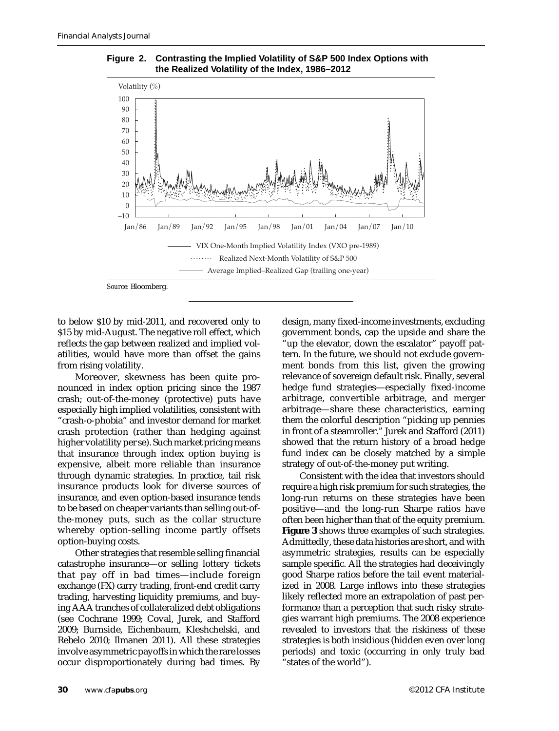



to below \$10 by mid-2011, and recovered only to \$15 by mid-August. The negative roll effect, which reflects the gap between realized and implied volatilities, would have more than offset the gains from rising volatility.

Moreover, skewness has been quite pronounced in index option pricing since the 1987 crash; out-of-the-money (protective) puts have especially high implied volatilities, consistent with "crash-o-phobia" and investor demand for market crash protection (rather than hedging against higher volatility per se). Such market pricing means that insurance through index option buying is expensive, albeit more reliable than insurance through dynamic strategies. In practice, tail risk insurance products look for diverse sources of insurance, and even option-based insurance tends to be based on cheaper variants than selling out-ofthe-money puts, such as the collar structure whereby option-selling income partly offsets option-buying costs.

Other strategies that resemble selling financial catastrophe insurance—or selling lottery tickets that pay off in bad times—include foreign exchange (FX) carry trading, front-end credit carry trading, harvesting liquidity premiums, and buying AAA tranches of collateralized debt obligations (see Cochrane 1999; Coval, Jurek, and Stafford 2009; Burnside, Eichenbaum, Kleshchelski, and Rebelo 2010; Ilmanen 2011). All these strategies involve asymmetric payoffs in which the rare losses occur disproportionately during bad times. By design, many fixed-income investments, excluding government bonds, cap the upside and share the "up the elevator, down the escalator" payoff pattern. In the future, we should not exclude government bonds from this list, given the growing relevance of sovereign default risk. Finally, several hedge fund strategies—especially fixed-income arbitrage, convertible arbitrage, and merger arbitrage—share these characteristics, earning them the colorful description "picking up pennies in front of a steamroller." Jurek and Stafford (2011) showed that the return history of a broad hedge fund index can be closely matched by a simple strategy of out-of-the-money put writing.

Consistent with the idea that investors should require a high risk premium for such strategies, the long-run returns on these strategies have been positive—and the long-run Sharpe ratios have often been higher than that of the equity premium. **Figure 3** shows three examples of such strategies. Admittedly, these data histories are short, and with asymmetric strategies, results can be especially sample specific. All the strategies had deceivingly good Sharpe ratios before the tail event materialized in 2008. Large inflows into these strategies likely reflected more an extrapolation of past performance than a perception that such risky strategies warrant high premiums. The 2008 experience revealed to investors that the riskiness of these strategies is both insidious (hidden even over long periods) and toxic (occurring in only truly bad "states of the world").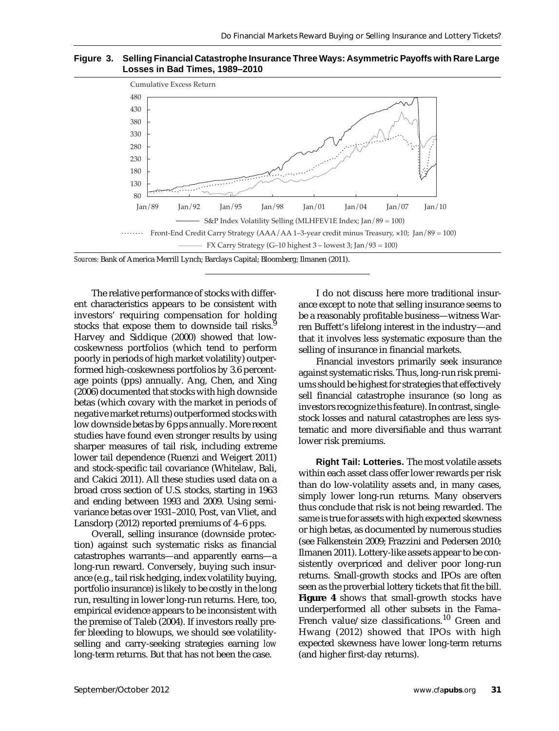



*Sources:* Bank of America Merrill Lynch; Barclays Capital; Bloomberg; Ilmanen (2011).

The relative performance of stocks with different characteristics appears to be consistent with investors' requiring compensation for holding stocks that expose them to downside tail risks.<sup>9</sup> Harvey and Siddique (2000) showed that lowcoskewness portfolios (which tend to perform poorly in periods of high market volatility) outperformed high-coskewness portfolios by 3.6 percentage points (pps) annually. Ang, Chen, and Xing (2006) documented that stocks with high downside betas (which covary with the market in periods of negative market returns) outperformed stocks with low downside betas by 6 pps annually. More recent studies have found even stronger results by using sharper measures of tail risk, including extreme lower tail dependence (Ruenzi and Weigert 2011) and stock-specific tail covariance (Whitelaw, Bali, and Cakici 2011). All these studies used data on a broad cross section of U.S. stocks, starting in 1963 and ending between 1993 and 2009. Using semivariance betas over 1931–2010, Post, van Vliet, and Lansdorp (2012) reported premiums of 4–6 pps.

Overall, selling insurance (downside protection) against such systematic risks as financial catastrophes warrants—and apparently earns—a long-run reward. Conversely, buying such insurance (e.g., tail risk hedging, index volatility buying, portfolio insurance) is likely to be costly in the long run, resulting in lower long-run returns. Here, too, empirical evidence appears to be inconsistent with the premise of Taleb (2004). If investors really prefer bleeding to blowups, we should see volatilityselling and carry-seeking strategies earning *low* long-term returns. But that has not been the case.

I do not discuss here more traditional insurance except to note that selling insurance seems to be a reasonably profitable business—witness Warren Buffett's lifelong interest in the industry—and that it involves less systematic exposure than the selling of insurance in financial markets.

Financial investors primarily seek insurance against systematic risks. Thus, long-run risk premiums should be highest for strategies that effectively sell financial catastrophe insurance (so long as investors recognize this feature). In contrast, singlestock losses and natural catastrophes are less systematic and more diversifiable and thus warrant lower risk premiums.

**Right Tail: Lotteries.** The most volatile assets within each asset class offer lower rewards per risk than do low-volatility assets and, in many cases, simply lower long-run returns. Many observers thus conclude that risk is not being rewarded. The same is true for assets with high expected skewness or high betas, as documented by numerous studies (see Falkenstein 2009; Frazzini and Pedersen 2010; Ilmanen 2011). Lottery-like assets appear to be consistently overpriced and deliver poor long-run returns. Small-growth stocks and IPOs are often seen as the proverbial lottery tickets that fit the bill. **Figure 4** shows that small-growth stocks have underperformed all other subsets in the Fama– French value/size classifications.<sup>10</sup> Green and Hwang (2012) showed that IPOs with high expected skewness have lower long-term returns (and higher first-day returns).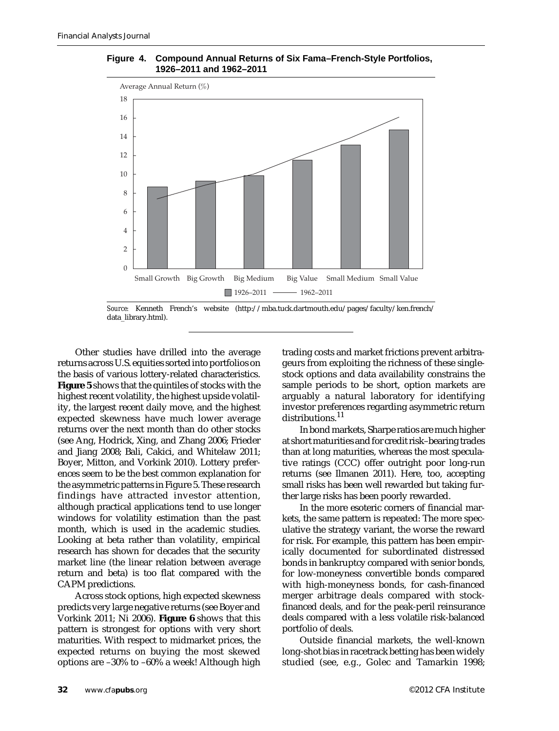





Other studies have drilled into the average returns across U.S. equities sorted into portfolios on the basis of various lottery-related characteristics. **Figure 5** shows that the quintiles of stocks with the highest recent volatility, the highest upside volatility, the largest recent daily move, and the highest expected skewness have much lower average returns over the next month than do other stocks (see Ang, Hodrick, Xing, and Zhang 2006; Frieder and Jiang 2008; Bali, Cakici, and Whitelaw 2011; Boyer, Mitton, and Vorkink 2010). Lottery preferences seem to be the best common explanation for the asymmetric patterns in Figure 5. These research findings have attracted investor attention, although practical applications tend to use longer windows for volatility estimation than the past month, which is used in the academic studies. Looking at beta rather than volatility, empirical research has shown for decades that the security market line (the linear relation between average return and beta) is too flat compared with the CAPM predictions.

Across stock options, high expected skewness predicts very large negative returns (see Boyer and Vorkink 2011; Ni 2006). **Figure 6** shows that this pattern is strongest for options with very short maturities. With respect to midmarket prices, the expected returns on buying the most skewed options are –30% to –60% a week! Although high trading costs and market frictions prevent arbitrageurs from exploiting the richness of these singlestock options and data availability constrains the sample periods to be short, option markets are arguably a natural laboratory for identifying investor preferences regarding asymmetric return distributions.<sup>11</sup>

In bond markets, Sharpe ratios are much higher at short maturities and for credit risk–bearing trades than at long maturities, whereas the most speculative ratings (CCC) offer outright poor long-run returns (see Ilmanen 2011). Here, too, accepting small risks has been well rewarded but taking further large risks has been poorly rewarded.

In the more esoteric corners of financial markets, the same pattern is repeated: The more speculative the strategy variant, the worse the reward for risk. For example, this pattern has been empirically documented for subordinated distressed bonds in bankruptcy compared with senior bonds, for low-moneyness convertible bonds compared with high-moneyness bonds, for cash-financed merger arbitrage deals compared with stockfinanced deals, and for the peak-peril reinsurance deals compared with a less volatile risk-balanced portfolio of deals.

Outside financial markets, the well-known long-shot bias in racetrack betting has been widely studied (see, e.g., Golec and Tamarkin 1998;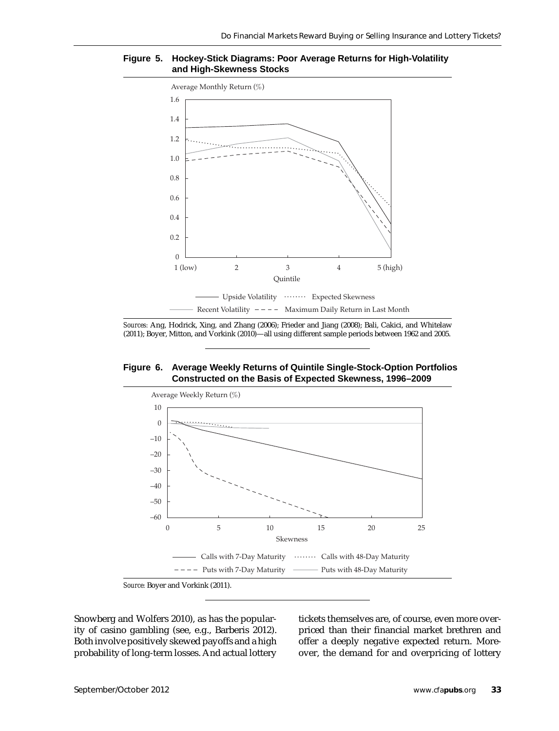



*Sources:* Ang, Hodrick, Xing, and Zhang (2006); Frieder and Jiang (2008); Bali, Cakici, and Whitelaw (2011); Boyer, Mitton, and Vorkink (2010)—all using different sample periods between 1962 and 2005.





*Source:* Boyer and Vorkink (2011).

Snowberg and Wolfers 2010), as has the popularity of casino gambling (see, e.g., Barberis 2012). Both involve positively skewed payoffs and a high probability of long-term losses. And actual lottery

tickets themselves are, of course, even more overpriced than their financial market brethren and offer a deeply negative expected return. Moreover, the demand for and overpricing of lottery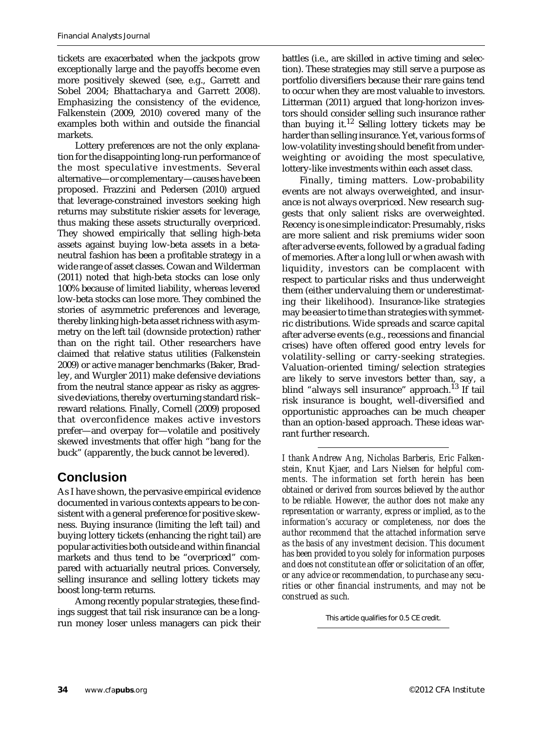tickets are exacerbated when the jackpots grow exceptionally large and the payoffs become even more positively skewed (see, e.g., Garrett and Sobel 2004; Bhattacharya and Garrett 2008). Emphasizing the consistency of the evidence, Falkenstein (2009, 2010) covered many of the examples both within and outside the financial markets.

Lottery preferences are not the only explanation for the disappointing long-run performance of the most speculative investments. Several alternative—or complementary—causes have been proposed. Frazzini and Pedersen (2010) argued that leverage-constrained investors seeking high returns may substitute riskier assets for leverage, thus making these assets structurally overpriced. They showed empirically that selling high-beta assets against buying low-beta assets in a betaneutral fashion has been a profitable strategy in a wide range of asset classes. Cowan and Wilderman (2011) noted that high-beta stocks can lose only 100% because of limited liability, whereas levered low-beta stocks can lose more. They combined the stories of asymmetric preferences and leverage, thereby linking high-beta asset richness with asymmetry on the left tail (downside protection) rather than on the right tail. Other researchers have claimed that relative status utilities (Falkenstein 2009) or active manager benchmarks (Baker, Bradley, and Wurgler 2011) make defensive deviations from the neutral stance appear as risky as aggressive deviations, thereby overturning standard risk– reward relations. Finally, Cornell (2009) proposed that overconfidence makes active investors prefer—and overpay for—volatile and positively skewed investments that offer high "bang for the buck" (apparently, the buck cannot be levered).

### **Conclusion**

As I have shown, the pervasive empirical evidence documented in various contexts appears to be consistent with a general preference for positive skewness. Buying insurance (limiting the left tail) and buying lottery tickets (enhancing the right tail) are popular activities both outside and within financial markets and thus tend to be "overpriced" compared with actuarially neutral prices. Conversely, selling insurance and selling lottery tickets may boost long-term returns.

Among recently popular strategies, these findings suggest that tail risk insurance can be a longrun money loser unless managers can pick their battles (i.e., are skilled in active timing and selection). These strategies may still serve a purpose as portfolio diversifiers because their rare gains tend to occur when they are most valuable to investors. Litterman (2011) argued that long-horizon investors should consider selling such insurance rather than buying it.<sup>12</sup> Selling lottery tickets may be harder than selling insurance. Yet, various forms of low-volatility investing should benefit from underweighting or avoiding the most speculative, lottery-like investments within each asset class.

Finally, timing matters. Low-probability events are not always overweighted, and insurance is not always overpriced. New research suggests that only salient risks are overweighted. Recency is one simple indicator: Presumably, risks are more salient and risk premiums wider soon after adverse events, followed by a gradual fading of memories. After a long lull or when awash with liquidity, investors can be complacent with respect to particular risks and thus underweight them (either undervaluing them or underestimating their likelihood). Insurance-like strategies may be easier to time than strategies with symmetric distributions. Wide spreads and scarce capital after adverse events (e.g., recessions and financial crises) have often offered good entry levels for volatility-selling or carry-seeking strategies. Valuation-oriented timing/selection strategies are likely to serve investors better than, say, a blind "always sell insurance" approach.<sup>13</sup> If tail risk insurance is bought, well-diversified and opportunistic approaches can be much cheaper than an option-based approach. These ideas warrant further research.

*I thank Andrew Ang, Nicholas Barberis, Eric Falkenstein, Knut Kjaer, and Lars Nielsen for helpful comments. The information set forth herein has been obtained or derived from sources believed by the author to be reliable. However, the author does not make any representation or warranty, express or implied, as to the information's accuracy or completeness, nor does the author recommend that the attached information serve as the basis of any investment decision. This document has been provided to you solely for information purposes and does not constitute an offer or solicitation of an offer, or any advice or recommendation, to purchase any securities or other financial instruments, and may not be construed as such.*

*This article qualifies for 0.5 CE credit.*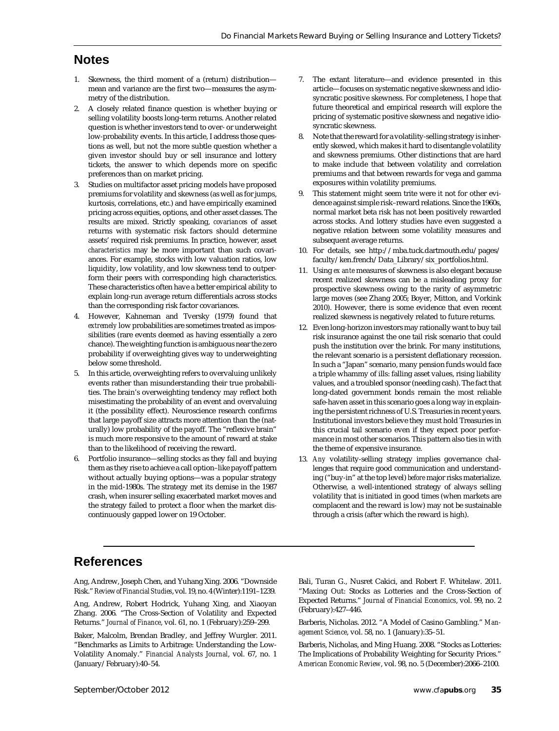#### **Notes**

- 1. Skewness, the third moment of a (return) distribution mean and variance are the first two—measures the asymmetry of the distribution.
- 2. A closely related finance question is whether buying or selling volatility boosts long-term returns. Another related question is whether investors tend to over- or underweight low-probability events. In this article, I address those questions as well, but not the more subtle question whether a given investor should buy or sell insurance and lottery tickets, the answer to which depends more on specific preferences than on market pricing.
- 3. Studies on multifactor asset pricing models have proposed premiums for volatility and skewness (as well as for jumps, kurtosis, correlations, etc.) and have empirically examined pricing across equities, options, and other asset classes. The results are mixed. Strictly speaking, *covariances* of asset returns with systematic risk factors should determine assets' required risk premiums. In practice, however, asset *characteristics* may be more important than such covariances. For example, stocks with low valuation ratios, low liquidity, low volatility, and low skewness tend to outperform their peers with corresponding high characteristics. These characteristics often have a better empirical ability to explain long-run average return differentials across stocks than the corresponding risk factor covariances.
- 4. However, Kahneman and Tversky (1979) found that *extremely* low probabilities are sometimes treated as impossibilities (rare events deemed as having essentially a zero chance). The weighting function is ambiguous near the zero probability if overweighting gives way to underweighting below some threshold.
- 5. In this article, overweighting refers to overvaluing unlikely events rather than misunderstanding their true probabilities. The brain's overweighting tendency may reflect both misestimating the probability of an event and overvaluing it (the possibility effect). Neuroscience research confirms that large payoff size attracts more attention than the (naturally) low probability of the payoff. The "reflexive brain" is much more responsive to the amount of reward at stake than to the likelihood of receiving the reward.
- 6. Portfolio insurance—selling stocks as they fall and buying them as they rise to achieve a call option–like payoff pattern without actually buying options—was a popular strategy in the mid-1980s. The strategy met its demise in the 1987 crash, when insurer selling exacerbated market moves and the strategy failed to protect a floor when the market discontinuously gapped lower on 19 October.
- 7. The extant literature—and evidence presented in this article—focuses on systematic negative skewness and idiosyncratic positive skewness. For completeness, I hope that future theoretical and empirical research will explore the pricing of systematic positive skewness and negative idiosyncratic skewness.
- 8. Note that the reward for a volatility-selling strategy is inherently skewed, which makes it hard to disentangle volatility and skewness premiums. Other distinctions that are hard to make include that between volatility and correlation premiums and that between rewards for vega and gamma exposures within volatility premiums.
- 9. This statement might seem trite were it not for other evidence against simple risk–reward relations. Since the 1960s, normal market beta risk has not been positively rewarded across stocks. And lottery studies have even suggested a negative relation between some volatility measures and subsequent average returns.
- 10. For details, see http://mba.tuck.dartmouth.edu/pages/ faculty/ken.french/Data\_Library/six\_portfolios.html.
- 11. Using *ex ante* measures of skewness is also elegant because recent realized skewness can be a misleading proxy for prospective skewness owing to the rarity of asymmetric large moves (see Zhang 2005; Boyer, Mitton, and Vorkink 2010). However, there is some evidence that even recent realized skewness is negatively related to future returns.
- 12. Even long-horizon investors may rationally want to buy tail risk insurance against the one tail risk scenario that could push the institution over the brink. For many institutions, the relevant scenario is a persistent deflationary recession. In such a "Japan" scenario, many pension funds would face a triple whammy of ills: falling asset values, rising liability values, and a troubled sponsor (needing cash). The fact that long-dated government bonds remain the most reliable safe-haven asset in this scenario goes a long way in explaining the persistent richness of U.S. Treasuries in recent years. Institutional investors believe they must hold Treasuries in this crucial tail scenario even if they expect poor performance in most other scenarios. This pattern also ties in with the theme of expensive insurance.
- 13. *Any* volatility-selling strategy implies governance challenges that require good communication and understanding ("buy-in" at the top level) *before* major risks materialize. Otherwise, a well-intentioned strategy of always selling volatility that is initiated in good times (when markets are complacent and the reward is low) may not be sustainable through a crisis (after which the reward is high).

#### **References**

Ang, Andrew, Joseph Chen, and Yuhang Xing. 2006. "Downside Risk." *Review of Financial Studies*, vol. 19, no. 4 (Winter):1191–1239.

Ang, Andrew, Robert Hodrick, Yuhang Xing, and Xiaoyan Zhang. 2006. "The Cross-Section of Volatility and Expected Returns." *Journal of Finance*, vol. 61, no. 1 (February):259–299.

Baker, Malcolm, Brendan Bradley, and Jeffrey Wurgler. 2011. "Benchmarks as Limits to Arbitrage: Understanding the Low-Volatility Anomaly." *Financial Analysts Journal*, vol. 67, no. 1 (January/February):40–54.

Bali, Turan G., Nusret Cakici, and Robert F. Whitelaw. 2011. "Maxing Out: Stocks as Lotteries and the Cross-Section of Expected Returns." *Journal of Financial Economics*, vol. 99, no. 2 (February):427–446.

Barberis, Nicholas. 2012. "A Model of Casino Gambling." *Management Science*, vol. 58, no. 1 (January):35–51.

Barberis, Nicholas, and Ming Huang. 2008. "Stocks as Lotteries: The Implications of Probability Weighting for Security Prices." *American Economic Review*, vol. 98, no. 5 (December):2066–2100.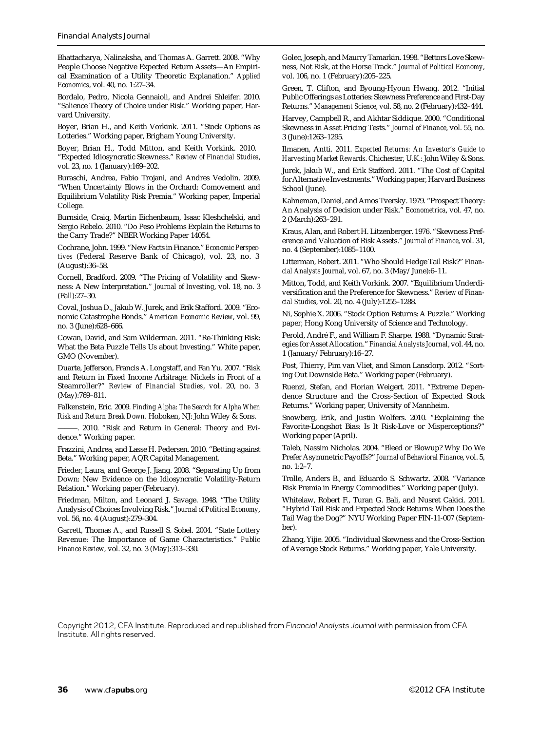Bhattacharya, Nalinaksha, and Thomas A. Garrett. 2008. "Why People Choose Negative Expected Return Assets—An Empirical Examination of a Utility Theoretic Explanation." *Applied Economics*, vol. 40, no. 1:27–34.

Bordalo, Pedro, Nicola Gennaioli, and Andrei Shleifer. 2010. "Salience Theory of Choice under Risk." Working paper, Harvard University.

Boyer, Brian H., and Keith Vorkink. 2011. "Stock Options as Lotteries." Working paper, Brigham Young University.

Boyer, Brian H., Todd Mitton, and Keith Vorkink. 2010. "Expected Idiosyncratic Skewness." *Review of Financial Studies*, vol. 23, no. 1 (January):169–202.

Buraschi, Andrea, Fabio Trojani, and Andres Vedolin. 2009. "When Uncertainty Blows in the Orchard: Comovement and Equilibrium Volatility Risk Premia." Working paper, Imperial College.

Burnside, Craig, Martin Eichenbaum, Isaac Kleshchelski, and Sergio Rebelo. 2010. "Do Peso Problems Explain the Returns to the Carry Trade?" NBER Working Paper 14054.

Cochrane, John. 1999. "New Facts in Finance." *Economic Perspectives* (Federal Reserve Bank of Chicago), vol. 23, no. 3 (August):36–58.

Cornell, Bradford. 2009. "The Pricing of Volatility and Skewness: A New Interpretation." *Journal of Investing*, vol. 18, no. 3 (Fall):27–30.

Coval, Joshua D., Jakub W. Jurek, and Erik Stafford. 2009. "Economic Catastrophe Bonds." *American Economic Review*, vol. 99, no. 3 (June):628–666.

Cowan, David, and Sam Wilderman. 2011. "Re-Thinking Risk: What the Beta Puzzle Tells Us about Investing." White paper, GMO (November).

Duarte, Jefferson, Francis A. Longstaff, and Fan Yu. 2007. "Risk and Return in Fixed Income Arbitrage: Nickels in Front of a Steamroller?" *Review of Financial Studies*, vol. 20, no. 3 (May):769–811.

Falkenstein, Eric. 2009. *Finding Alpha: The Search for Alpha When Risk and Return Break Down*. Hoboken, NJ: John Wiley & Sons.

. 2010. "Risk and Return in General: Theory and Evidence." Working paper.

Frazzini, Andrea, and Lasse H. Pedersen. 2010. "Betting against Beta." Working paper, AQR Capital Management.

Frieder, Laura, and George J. Jiang. 2008. "Separating Up from Down: New Evidence on the Idiosyncratic Volatility-Return Relation." Working paper (February).

Friedman, Milton, and Leonard J. Savage. 1948. "The Utility Analysis of Choices Involving Risk." *Journal of Political Economy*, vol. 56, no. 4 (August):279–304.

Garrett, Thomas A., and Russell S. Sobel. 2004. "State Lottery Revenue: The Importance of Game Characteristics." *Public Finance Review*, vol. 32, no. 3 (May):313–330.

Golec, Joseph, and Maurry Tamarkin. 1998. "Bettors Love Skewness, Not Risk, at the Horse Track." *Journal of Political Economy*, vol. 106, no. 1 (February):205–225.

Green, T. Clifton, and Byoung-Hyoun Hwang. 2012. "Initial Public Offerings as Lotteries: Skewness Preference and First-Day Returns." *Management Science*, vol. 58, no. 2 (February):432–444.

Harvey, Campbell R., and Akhtar Siddique. 2000. "Conditional Skewness in Asset Pricing Tests." *Journal of Finance*, vol. 55, no. 3 (June):1263–1295.

Ilmanen, Antti. 2011. *Expected Returns: An Investor's Guide to Harvesting Market Rewards*. Chichester, U.K.: John Wiley & Sons.

Jurek, Jakub W., and Erik Stafford. 2011. "The Cost of Capital for Alternative Investments." Working paper, Harvard Business School (June).

Kahneman, Daniel, and Amos Tversky. 1979. "Prospect Theory: An Analysis of Decision under Risk." *Econometrica*, vol. 47, no. 2 (March):263–291.

Kraus, Alan, and Robert H. Litzenberger. 1976. "Skewness Preference and Valuation of Risk Assets." *Journal of Finance*, vol. 31, no. 4 (September):1085–1100.

Litterman, Robert. 2011. "Who Should Hedge Tail Risk?" *Financial Analysts Journal*, vol. 67, no. 3 (May/June):6–11.

Mitton, Todd, and Keith Vorkink. 2007. "Equilibrium Underdiversification and the Preference for Skewness." *Review of Financial Studies*, vol. 20, no. 4 (July):1255–1288.

Ni, Sophie X. 2006. "Stock Option Returns: A Puzzle." Working paper, Hong Kong University of Science and Technology.

Perold, André F., and William F. Sharpe. 1988. "Dynamic Strategies for Asset Allocation." *Financial Analysts Journal*, vol. 44, no. 1 (January/February):16–27.

Post, Thierry, Pim van Vliet, and Simon Lansdorp. 2012. "Sorting Out Downside Beta." Working paper (February).

Ruenzi, Stefan, and Florian Weigert. 2011. "Extreme Dependence Structure and the Cross-Section of Expected Stock Returns." Working paper, University of Mannheim.

Snowberg, Erik, and Justin Wolfers. 2010. "Explaining the Favorite-Longshot Bias: Is It Risk-Love or Misperceptions?" Working paper (April).

Taleb, Nassim Nicholas. 2004. "Bleed or Blowup? Why Do We Prefer Asymmetric Payoffs?" *Journal of Behavioral Finance*, vol. 5, no. 1:2–7.

Trolle, Anders B., and Eduardo S. Schwartz. 2008. "Variance Risk Premia in Energy Commodities." Working paper (July).

Whitelaw, Robert F., Turan G. Bali, and Nusret Cakici. 2011. "Hybrid Tail Risk and Expected Stock Returns: When Does the Tail Wag the Dog?" NYU Working Paper FIN-11-007 (September).

Zhang, Yijie. 2005. "Individual Skewness and the Cross-Section of Average Stock Returns." Working paper, Yale University.

Copyright 2012, CFA Institute. Reproduced and republished from *Financial Analysts Journal* with permission from CFA Institute. All rights reserved.